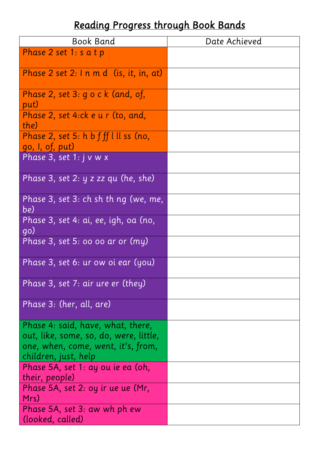## *Reading Progress through Book Bands*

| <b>Book Band</b>                                | Date Achieved |
|-------------------------------------------------|---------------|
| Phase 2 set 1: s a t p                          |               |
|                                                 |               |
| Phase 2 set 2: $\ln m d$ (is, it, in, at)       |               |
| Phase 2, set $3: q \circ c$ k (and, of,         |               |
| put)                                            |               |
| Phase 2, set 4:ck e u r (to, and,<br>the)       |               |
| Phase 2, set 5: $h b f f f l l l s s$ (no,      |               |
| go, I, of, put)                                 |               |
| <u>Phase 3, set 1: j v w x</u>                  |               |
| Phase 3, set 2: y z zz qu (he, she)             |               |
| Phase 3, set 3: $ch$ sh th $nq$ (we, me,<br>be) |               |
| Phase 3, set 4: ai, ee, igh, oa (no,            |               |
| go)                                             |               |
| Phase 3, set 5: 00 00 ar or (my)                |               |
| Phase 3, set 6: ur ow oi ear (you)              |               |
| Phase 3, set 7: air ure er (they)               |               |
| Phase 3: (her, all, are)                        |               |
| Phase 4: said, have, what, there,               |               |
| out, like, some, so, do, were, little,          |               |
| one, when, come, went, it's, from,              |               |
| children, just, help                            |               |
| Phase 5A, set 1: ay ou ie ea (oh,               |               |
| their, people)                                  |               |
| Phase 5A, set 2: oy ir ue ue (Mr,<br>Mrs)       |               |
| Phase 5A, set 3: aw wh ph ew                    |               |
| (looked, called)                                |               |